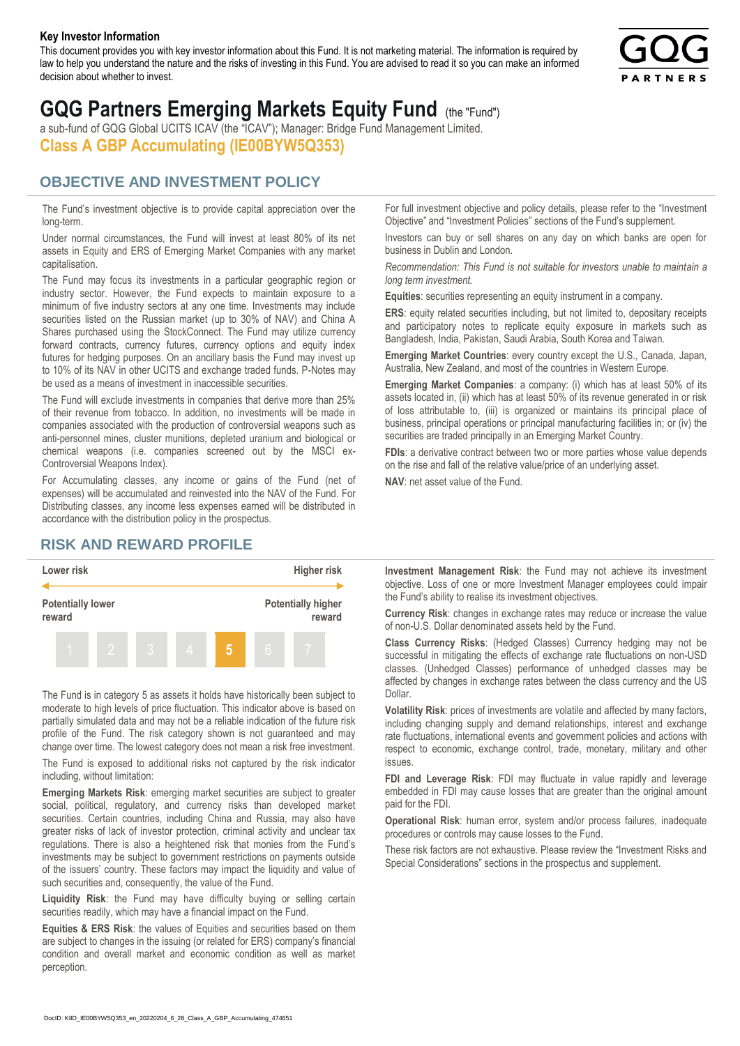#### **Key Investor Information**

This document provides you with key investor information about this Fund. It is not marketing material. The information is required by law to help you understand the nature and the risks of investing in this Fund. You are advised to read it so you can make an informed decision about whether to invest.



# **GQG Partners Emerging Markets Equity Fund** (the "Fund")

a sub-fund of GQG Global UCITS ICAV (the "ICAV"); Manager: Bridge Fund Management Limited. **Class A GBP Accumulating (IE00BYW5Q353)**

#### **OBJECTIVE AND INVESTMENT POLICY**

The Fund's investment objective is to provide capital appreciation over the long-term.

Under normal circumstances, the Fund will invest at least 80% of its net assets in Equity and ERS of Emerging Market Companies with any market capitalisation.

The Fund may focus its investments in a particular geographic region or industry sector. However, the Fund expects to maintain exposure to a minimum of five industry sectors at any one time. Investments may include securities listed on the Russian market (up to 30% of NAV) and China A Shares purchased using the StockConnect. The Fund may utilize currency forward contracts, currency futures, currency options and equity index futures for hedging purposes. On an ancillary basis the Fund may invest up to 10% of its NAV in other UCITS and exchange traded funds. P-Notes may be used as a means of investment in inaccessible securities.

The Fund will exclude investments in companies that derive more than 25% of their revenue from tobacco. In addition, no investments will be made in companies associated with the production of controversial weapons such as anti-personnel mines, cluster munitions, depleted uranium and biological or chemical weapons (i.e. companies screened out by the MSCI ex-Controversial Weapons Index).

For Accumulating classes, any income or gains of the Fund (net of expenses) will be accumulated and reinvested into the NAV of the Fund. For Distributing classes, any income less expenses earned will be distributed in accordance with the distribution policy in the prospectus.

### **RISK AND REWARD PROFILE**



The Fund is in category 5 as assets it holds have historically been subject to moderate to high levels of price fluctuation. This indicator above is based on partially simulated data and may not be a reliable indication of the future risk profile of the Fund. The risk category shown is not guaranteed and may change over time. The lowest category does not mean a risk free investment.

The Fund is exposed to additional risks not captured by the risk indicator including, without limitation:

**Emerging Markets Risk**: emerging market securities are subject to greater social, political, regulatory, and currency risks than developed market securities. Certain countries, including China and Russia, may also have greater risks of lack of investor protection, criminal activity and unclear tax regulations. There is also a heightened risk that monies from the Fund's investments may be subject to government restrictions on payments outside of the issuers' country. These factors may impact the liquidity and value of such securities and, consequently, the value of the Fund.

**Liquidity Risk**: the Fund may have difficulty buying or selling certain securities readily, which may have a financial impact on the Fund.

**Equities & ERS Risk**: the values of Equities and securities based on them are subject to changes in the issuing (or related for ERS) company's financial condition and overall market and economic condition as well as market perception.

For full investment objective and policy details, please refer to the "Investment Objective" and "Investment Policies" sections of the Fund's supplement.

Investors can buy or sell shares on any day on which banks are open for business in Dublin and London.

*Recommendation: This Fund is not suitable for investors unable to maintain a long term investment.*

**Equities**: securities representing an equity instrument in a company.

**ERS:** equity related securities including, but not limited to, depositary receipts and participatory notes to replicate equity exposure in markets such as Bangladesh, India, Pakistan, Saudi Arabia, South Korea and Taiwan.

**Emerging Market Countries**: every country except the U.S., Canada, Japan, Australia, New Zealand, and most of the countries in Western Europe.

**Emerging Market Companies**: a company: (i) which has at least 50% of its assets located in, (ii) which has at least 50% of its revenue generated in or risk of loss attributable to, (iii) is organized or maintains its principal place of business, principal operations or principal manufacturing facilities in; or (iv) the securities are traded principally in an Emerging Market Country.

**FDIs**: a derivative contract between two or more parties whose value depends on the rise and fall of the relative value/price of an underlying asset.

**NAV**: net asset value of the Fund.

**Investment Management Risk**: the Fund may not achieve its investment objective. Loss of one or more Investment Manager employees could impair the Fund's ability to realise its investment objectives.

**Currency Risk**: changes in exchange rates may reduce or increase the value of non-U.S. Dollar denominated assets held by the Fund.

**Class Currency Risks**: (Hedged Classes) Currency hedging may not be successful in mitigating the effects of exchange rate fluctuations on non-USD classes. (Unhedged Classes) performance of unhedged classes may be affected by changes in exchange rates between the class currency and the US Dollar.

**Volatility Risk**: prices of investments are volatile and affected by many factors, including changing supply and demand relationships, interest and exchange rate fluctuations, international events and government policies and actions with respect to economic, exchange control, trade, monetary, military and other issues.

**FDI and Leverage Risk**: FDI may fluctuate in value rapidly and leverage embedded in FDI may cause losses that are greater than the original amount paid for the FDI.

**Operational Risk**: human error, system and/or process failures, inadequate procedures or controls may cause losses to the Fund.

These risk factors are not exhaustive. Please review the "Investment Risks and Special Considerations" sections in the prospectus and supplement.